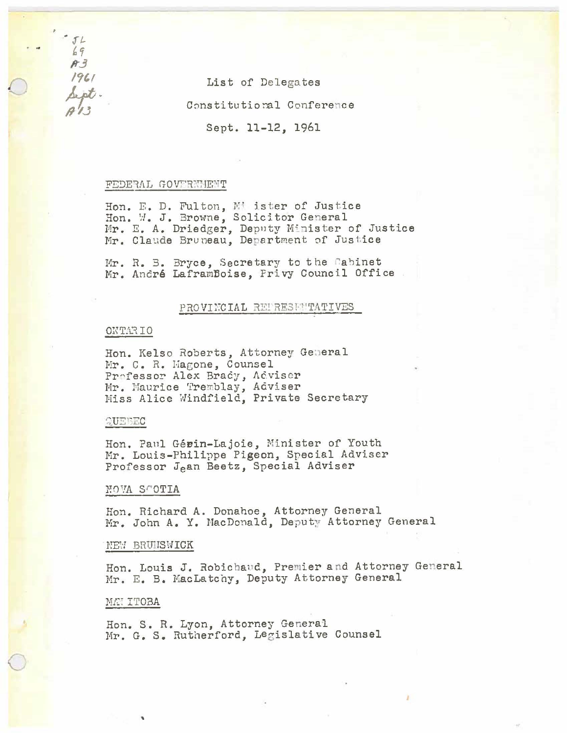List of Delegates

Constitutional Conference

Sept. 11-12, 1961

### FEDERAL GOVERNMENT

Hon. E. D. Fulton, Mi ister of Justice Hon. W. J. Browne, Solicitor General Mr. E. A. Driedger, Deputy Minister of Justice<br>Mr. Claude Bruneau, Department of Justice

Mr. R. B. Bryce, Secretary to the Cabinet Mr. André LaframBoise, Privy Council Office

# PROVINCIAL REPRESENTATIVES

## ONTARIO

 $-52$  $69$  $A.3$  $1961$ 

Sept.

Hon. Kelso Roberts, Attorney General Mr. C. R. Magone, Counsel Professor Alex Brady, Adviser Mr. Maurice Tremblay, Adviser Miss Alice Windfield, Private Secretary

## QUEBEC

Hon. Paul Gérin-Lajoie, Minister of Youth Mr. Louis-Philippe Pigeon, Special Adviser Professor Jean Beetz, Special Adviser

#### NOVA SCOTIA

Hon. Richard A. Donahoe, Attorney General Mr. John A. Y. MacDonald, Deputy Attorney General

#### NEW BRUNSWICK

Hon. Louis J. Robichaud, Premier and Attorney General Mr. E. B. MacLatchy, Deputy Attorney General

#### MAN ITOBA

Hon. S. R. Lyon, Attorney General Mr. G. S. Rutherford, Legislative Counsel